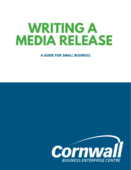# **WRITING A MEDIA RELEASE**

**A GUIDE FOR SMALL BUSINESS**

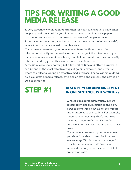## **TIPS FOR WRITING A GOOD MEDIA RELEASE**

A very effective way in gaining attention for your business is to have other people spread the word for you. Traditional media, such as newspapers, magazines and radio, can often reach thousands of people at once. Advertising is one tactic, another is to gain exposure on the "editorial side", where information is viewed to be objective.

If you have a newsworthy announcement, take the time to send the information directly to the media, rather than expect them to come to you. Include as many relevant details as possible in a format that they can easily reference and copy. In other words, issue a media release.

A media release costs nothing but a little bit of time and effort, however, it can be one of the most effective ways of gaining exposure and attention. There are rules to issuing an effective media release. The following guide will help you draft a media release, with tips on style and content, and advice on who to send it to.

## **STEP #1**

#### **DESCRIBE YOUR ANNOUNCEMENT IN ONE SENTENCE. IS IT WORTHY?**

What is considered newsworthy differs greatly from one publication to the next. News is something new, up-to-the-minute and of interest to the readers. For example, if you have an opening, that's not news – its an ad. If you are hiring 20 people because your business just expanded, that's news.

If you have a newsworthy announcement, you should be able to describe it in one sentence: eg. "Our business is now open". "Our business has moved." "We have launched a new product/service." "Tickets are now on sale."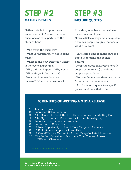## **STEP #2 GATHER DETAILS INCLUDE QUOTES**

Gather details to support your announcement. Answer the basic questions as they pertain to the story at hand:

- Who owns the business?
- What is happening? What is being made?
- Where is the new business? Where is the event happening?
- Why did this happen? Why now?
- When did/will this happen?
- How much money has been

invested? How many new jobs?

# **STEP #3**

Provide quotes from the business owner, key employee. News articles always include quotes

from key people, so give the media what they want.

• Take some time to make sure the quote is on point and sounds natural.

- Keep the quote relatively short (a couple of sentences) and do not simply repeat facts.
- You can have more than one quote from more than one person.
- Attribute each quote to a specific person, and note their title.

#### **10 BENEFITS OF WRITING A MEDIA RELEASE**

- 1. Instant Exposure
- 2. Increased Sales Potential
- 3. The Chance to Boost the Effectiveness of Your Marketing Plan
- 4. The Opportunity to Brand Yourself as an Industry Expert
- 5. Increased Traffic to Your Website
- 6. Important SEO Benefits
- 7. A New Opportunity to Reach Your Targeted Audience
- 8. A Solid Relationship with Journalists
- 9. A Cost-Effective Method to Attract Deep-Pocketed Investors
- 10. The Perfect Occasion to Distribute Your Content Across Different Channels

\* W W W .E X P R E S S W R I T E R S . C O M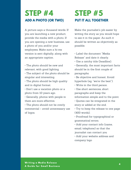## **ADD A PHOTO (OR TWO) STEP #4**

A picture says a thousand words. If you are launching a new product, provide the media with a photo. If you are opening a new business, use a photo of you and/or your employees. Make sure a hi-res version is sent digitally, along with an appropriate caption.

• The photo should be new and relevant, with good lighting. • The subject of the photo should be singular and interesting.

• The photo should be high quality and in digital format.

• Don't use a vacation photo or a photo from 10 years ago.

• Generally, photos with people in them are more effective.

• The photo should not be overly commercial – avoid unnecessary use of logos.

## **PUT IT ALL TOGETHER STEP #5**

Make the journalist's job easier by writing the story as you would hope to see it in the paper. As such it should be written as objectively as possible.

• Label the document "Media Release" and date it clearly.

- Use a catchy title (headline).
- Generally, the most important facts should be in the first couple of paragraphs.
- Be objective and honest. Avoid hyperbole (eg. "we're the best").
- Write in the third person.
- Use short sentences, short paragraphs and keep the information simple and to the point.
- Quotes can be integrated in the story or added at the end.
- Try to keep the release to one page (400 words).
- Proofread for typographical or grammatical errors.
- Add your contact info (name, email, telephone) so that the journalist can contact you

• Add your website address and company logo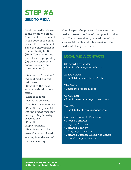

Send the media release to the media via email. You can either include it in the body of the email or as a PDF attachment. Send the photograph as a separate digital file (JPG). You should time the release appropriately (eg. as you open your doors, the day event sales begin etc.).

• Send it to all local and regional media (print, radio etc)

• Send it to the local economic development office

• Send it to local business groups (eg. Chamber of Commerce) • Send it to any special interest groups you may belong to (eg. industry association) • Send it to suppliers/clients

• Send it early in the week if you can. Avoid sending it at the end of the business day.

Note: Respect the process. If you want the media to treat it as "news" then give it to them first. If you have already shared the info on your social media and it is a week old, the media will likely not share it.

#### **LOCAL MEDIA CONTACTS**

Standard-Freeholder • Email: csf.news@sunmedia.ca

Seaway News • Email: Nicholas.seebruch@tc.tc

The Seeker • Email: info@theseeker.ca

Corus Radio • Email: carrie.lalonde@corusent.com

YourTV

• Email: bill.makinson@cogeco.com

Cornwall Economic Development

- Choose Cornwall bpeters@cornwall.ca
- Cornwall Tourism klajoie@cornwall.ca
- Cornwall Business Enterprise Centre ryan.kuhn@cornwall.ca

**Wr iting a Media R elease A G uide for Smal l Bus ines s**